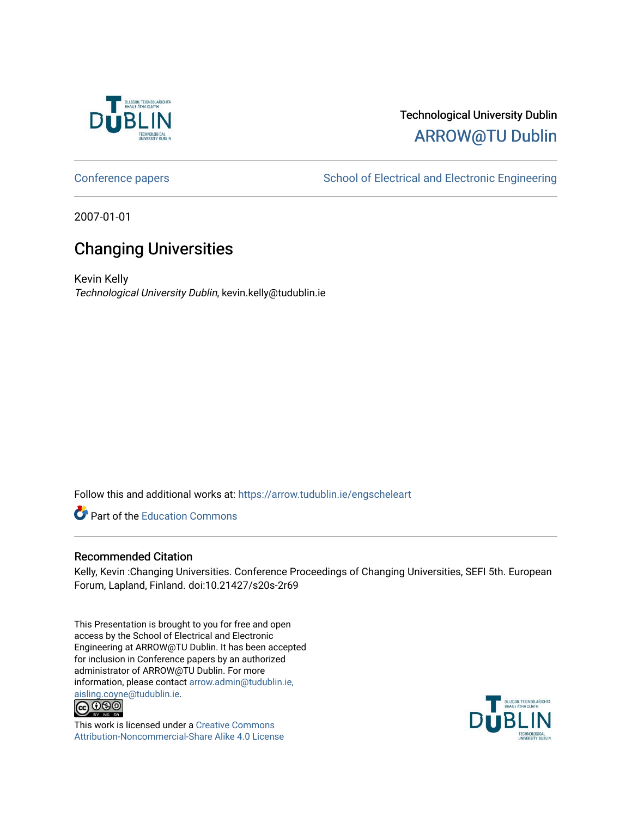

#### Technological University Dublin [ARROW@TU Dublin](https://arrow.tudublin.ie/)

[Conference papers](https://arrow.tudublin.ie/engscheleart) **School of Electrical and Electronic Engineering** 

2007-01-01

#### Changing Universities

Kevin Kelly Technological University Dublin, kevin.kelly@tudublin.ie

Follow this and additional works at: [https://arrow.tudublin.ie/engscheleart](https://arrow.tudublin.ie/engscheleart?utm_source=arrow.tudublin.ie%2Fengscheleart%2F119&utm_medium=PDF&utm_campaign=PDFCoverPages) 

Part of the [Education Commons](http://network.bepress.com/hgg/discipline/784?utm_source=arrow.tudublin.ie%2Fengscheleart%2F119&utm_medium=PDF&utm_campaign=PDFCoverPages)

#### Recommended Citation

Kelly, Kevin :Changing Universities. Conference Proceedings of Changing Universities, SEFI 5th. European Forum, Lapland, Finland. doi:10.21427/s20s-2r69

This Presentation is brought to you for free and open access by the School of Electrical and Electronic Engineering at ARROW@TU Dublin. It has been accepted for inclusion in Conference papers by an authorized administrator of ARROW@TU Dublin. For more information, please contact [arrow.admin@tudublin.ie,](mailto:arrow.admin@tudublin.ie,%20aisling.coyne@tudublin.ie)  [aisling.coyne@tudublin.ie.](mailto:arrow.admin@tudublin.ie,%20aisling.coyne@tudublin.ie)<br> **@ 0 9 9** 



This work is licensed under a [Creative Commons](http://creativecommons.org/licenses/by-nc-sa/4.0/) [Attribution-Noncommercial-Share Alike 4.0 License](http://creativecommons.org/licenses/by-nc-sa/4.0/)

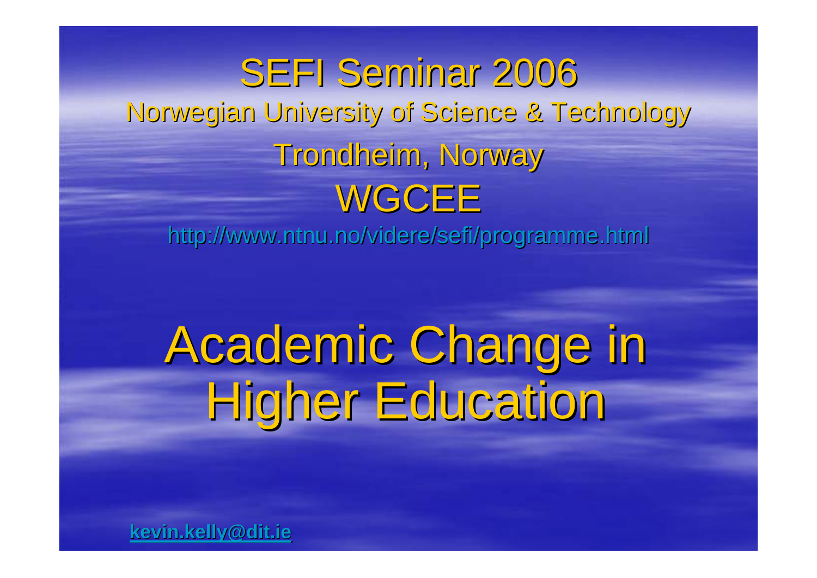SEFI Seminar 2006 Norwegian University of Science & Technology Norwegian University of Science & Technology Trondheim, Norway WGCEE

http://www.ntnu.no/videre/sefi/programme.html http://www.ntnu.no/videre/sefi/programme.html

# Academic Change in Academic Change in Higher Education

**kevin.kelly@dit.ie kevin.kelly@dit.ie**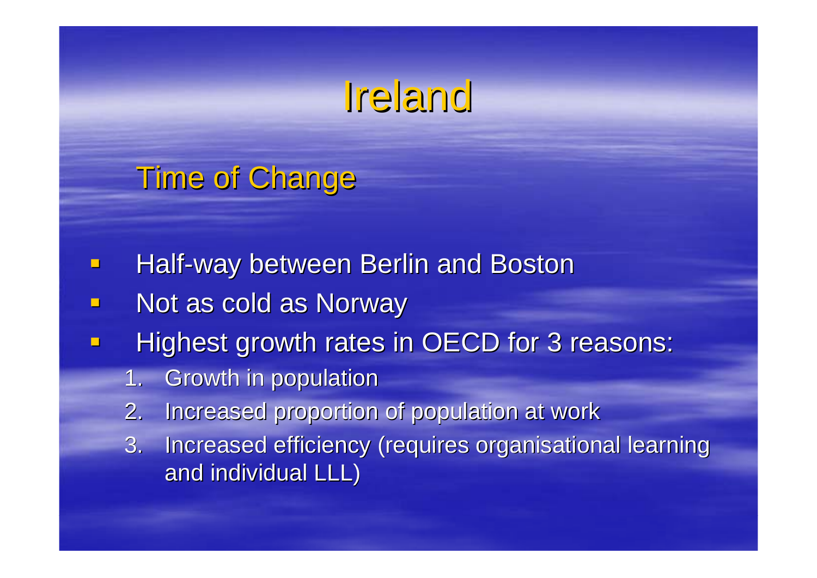#### Ireland

**Time of Change** 

- $\blacksquare$ Half-way between Berlin and Boston
- Not as cold as Norway
- $\Box$ Highest growth rates in OECD for 3 reasons:
	- 1.Growth in population Growth in population
	- 2.Increased proportion of population at work
	- 3. Increased efficiency (requires organisational learning and individual LLL)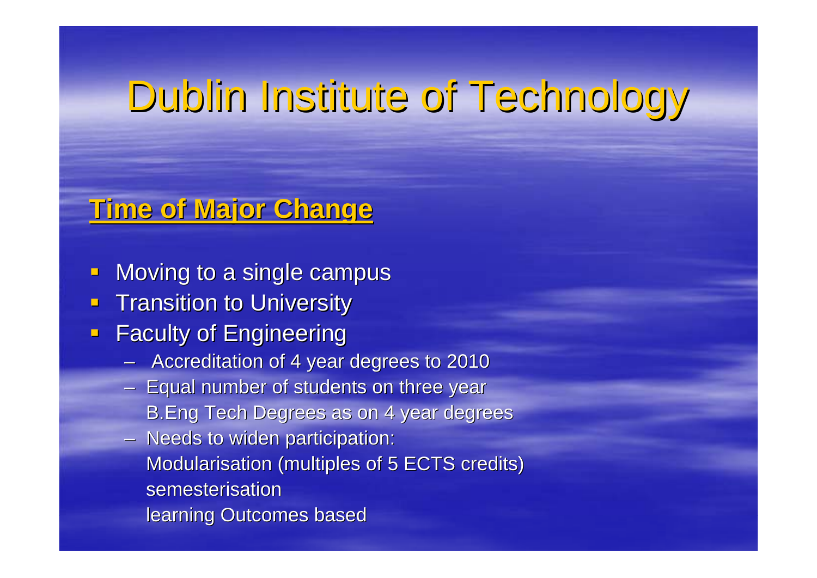## Dublin Institute of Technology

#### **Time of Major Change Time of Major Change**

- $\Box$ Moving to a single campus
- $\Box$ **Transition to University**
- $\blacksquare$ **Faculty of Engineering** 
	- $-$  Accreditation of 4 year degrees to 2010
	- $-$  Equal number of students on three year  $\overline{\phantom{a}}$ B.Eng Tech Degrees as on 4 year degrees
	- Needs to widen participation: Modularisation (multiples of 5 ECTS credits) semesterisation learning Outcomes based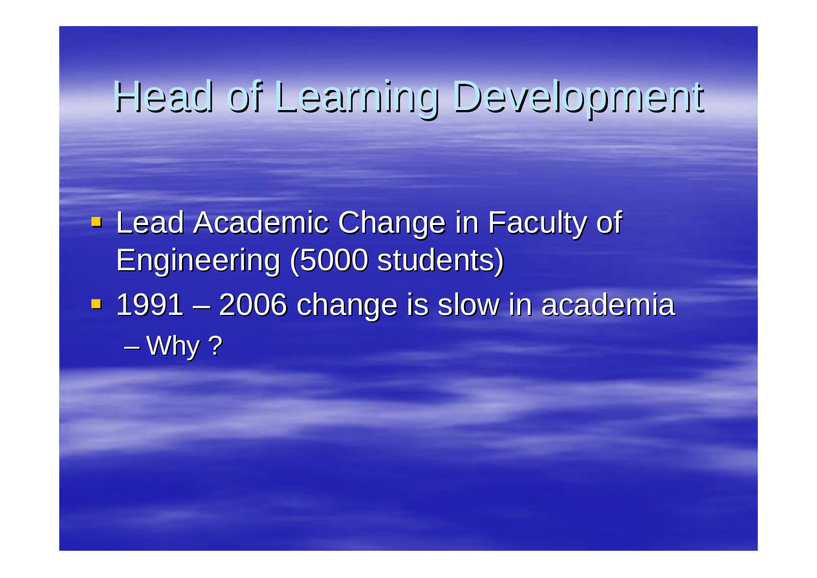#### Head of Learning Development Head of Learning Development

**Lead Academic Change in Faculty of** Engineering (5000 students) Engineering (5000 students) ■ 1991 - $\mathcal{L}_{\mathcal{A}}$ – 2006 change is slow in academia  $\mathcal{L}_{\mathcal{A}}$  , where  $\mathcal{L}_{\mathcal{A}}$  is the set of the set of the set of the set of the set of the set of the set of the set of the set of the set of the set of the set of the set of the set of the set of the set of the Why ?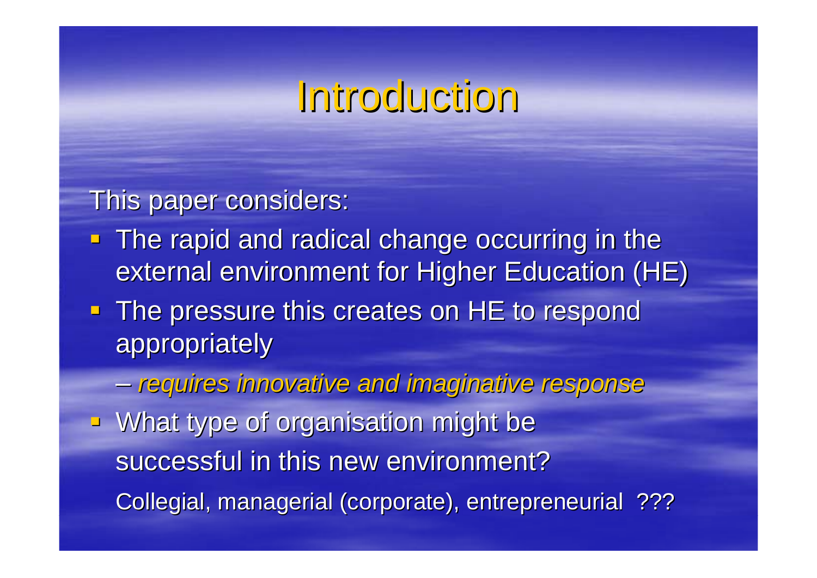#### Introduction Introduction

This paper considers:

- **The rapid and radical change occurring in the The rapid and radical change occurring in the** external environment for Higher Education (HE)
- $\blacksquare$  The pressure this creates on HE to respond appropriately appropriately
- *requires innovative and imaginative response requires innovative and imaginative response* **What type of organisation might be** successful in this new environment? Collegial, managerial (corporate), entrepreneurial ???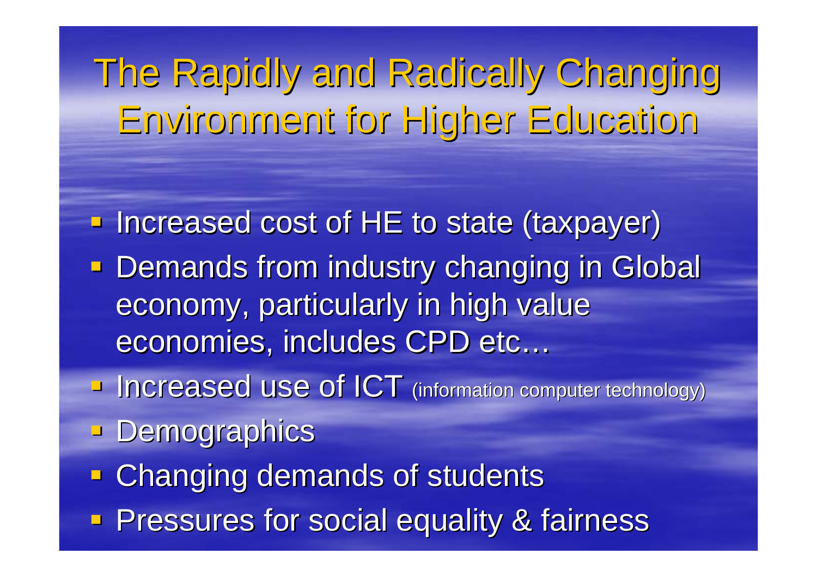The Rapidly and Radically Changing Environment for Higher Education

**- Increased cost of HE to state (taxpayer) Demands from industry changing in Global** economy, particularly in high value economies, includes CPD etc...

**Increased use of ICT** (information computer technology)

**- Demographics** 

**Example 2 Changing demands of students** 

**Pressures for social equality & fairness**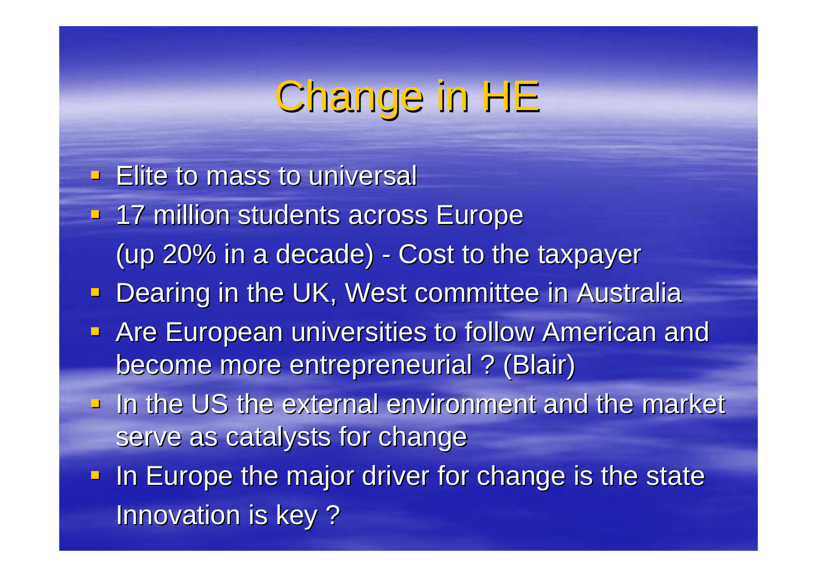### Change in HE

- $\blacksquare$  Elite to mass to universal
- **17 million students across Europe** (up 20% in a decade) -- Cost to the taxpayer
- **Dearing in the UK, West committee in Australia**
- **Are European universities to follow American and** become more entrepreneurial ? (Blair) become more entrepreneurial ? (Blair)
- $\blacksquare$  In the US the external environment and the market serve as catalysts for change
- **In Europe the major driver for change is the state In Europe the major driver for change is the state** Innovation is key?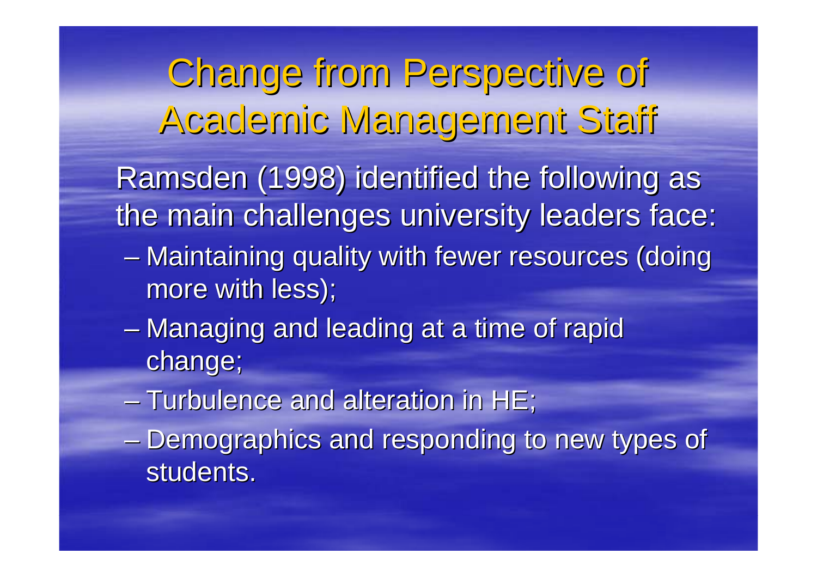Change from Perspective of Academic Management Staff

Ramsden (1998) identified the following as the main challenges university leaders face:

- $\mathcal{L}_{\mathcal{A}}$ – Maintaining quality with fewer resources (doing more with less);
- $\mathcal{L}_{\mathcal{A}}$  , where  $\mathcal{L}_{\mathcal{A}}$  is the set of the set of the set of the set of the set of the set of the set of the set of the set of the set of the set of the set of the set of the set of the set of the set of the – Managing and leading at a time of rapid change;
- $-$  Turbulence and alteration in HE;
- Demographics and responding to new types of students.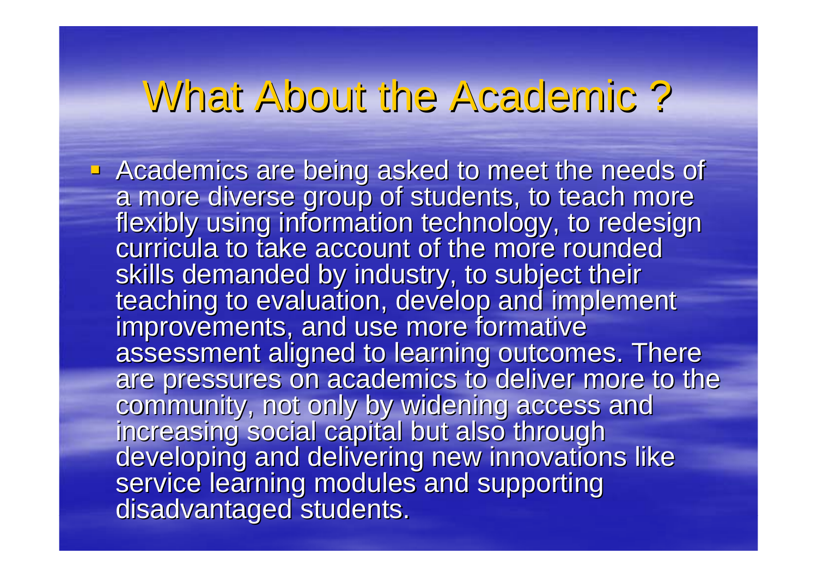#### What About the Academic ? What About the Academic ?

Academics are being asked to meet the needs of<br>a more diverse group of students, to teach more<br>flexibly using information technology, to redesign<br>curricula to take account of the more rounded skills demanded by industry, to subject their<br>teaching to evaluation, develop and implement<br>improvements, and use more formative<br>assessment aligned to learning outcomes. There<br>are pressures on academics to deliver more to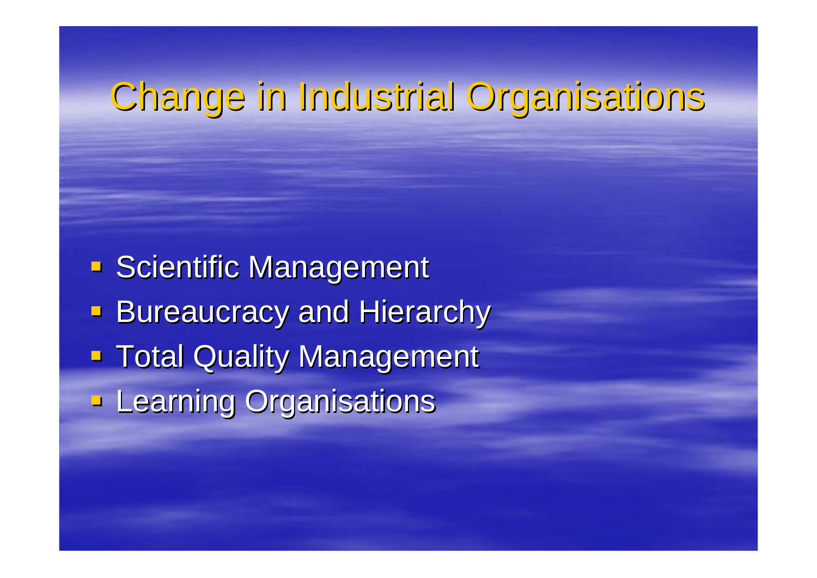#### Change in Industrial Organisations Change in Industrial Organisations

**Scientific Management** Scientific Management **Bureaucracy and Hierarchy Total Quality Management Learning Organisations**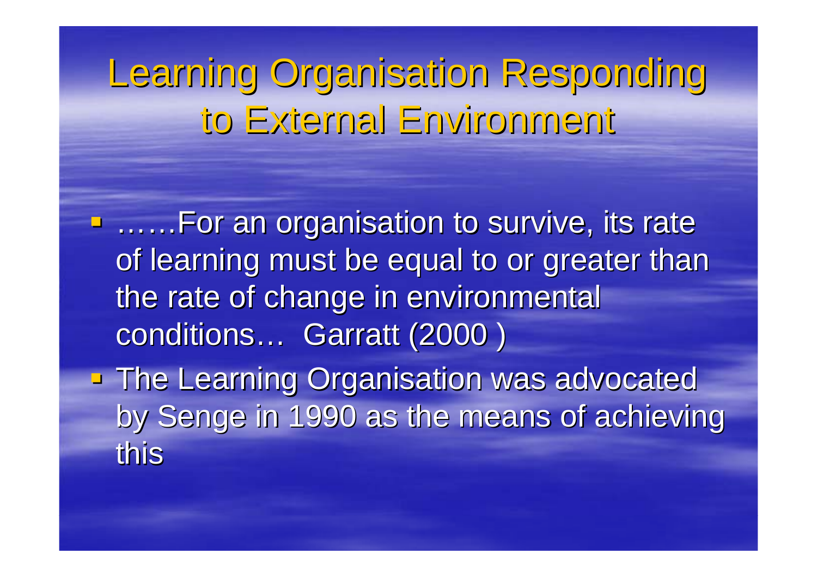Learning Organisation Responding to External Environment

**E......For an organisation to survive, its rate** of learning must be equal to or greater than the rate of change in environmental conditions… Garratt (2000 )

**The Learning Organisation was advocated The Learning Organisation was advocated** by Senge in 1990 as the means of achieving this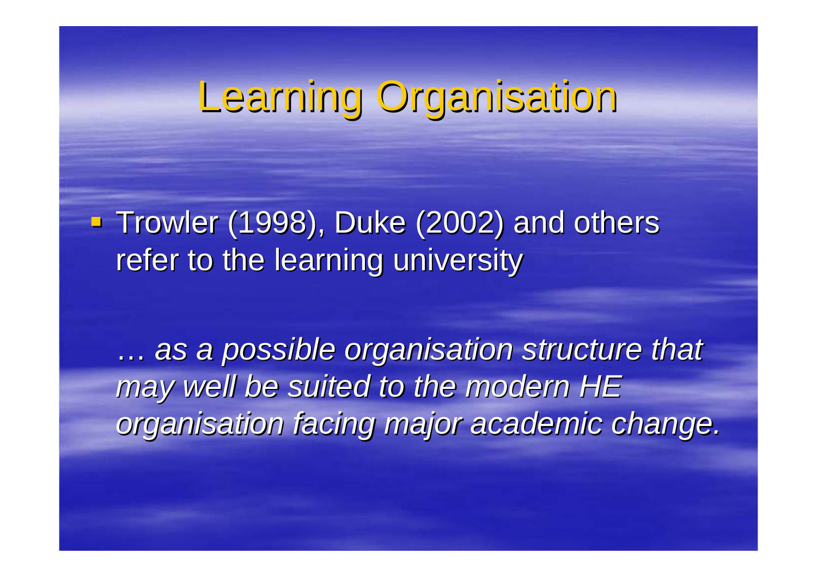#### Learning Organisation

**Trowler (1998), Duke (2002) and others Trowler (1998), Duke (2002) and others** refer to the learning university

... as a possible organisation structure that may well be suited to the modern HE organisation facing major academic change.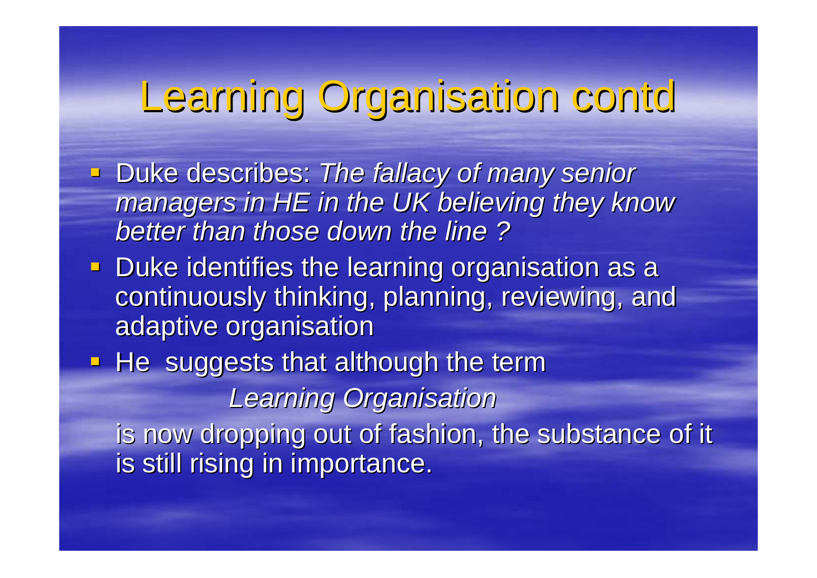#### Learning Organisation contd

- **Duke describes: The fallacy of many senior Fallacy of many senior** *managers in HE in the UK believing they know managers in HE in the UK believing they know better than those down the line ? better than those down the line ?*
- **Duke identifies the learning organisation as a** continuously thinking, planning, reviewing, and adaptive organisation
- $\blacksquare$  He suggests that although the term *Learning Organisation Learning Organisation* is now dropping out of fashion, the substance of it is still rising in importance.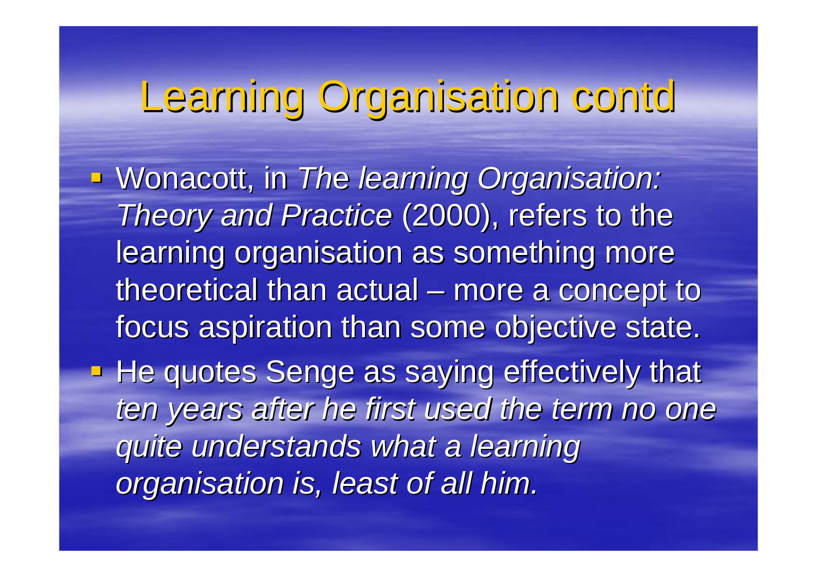### Learning Organisation contd

 Wonacott, in Wonacott, in *Th*e *learning Organisation: learning Organisation: Theory and Practice* (2000), refers to the learning organisation as something more theoretical than actual  $\cdot$  $\mathcal{L}_{\mathcal{A}}$ – more a concept to focus aspiration than some objective state. **He quotes Senge as saying effectively that** ten years after he first used the term no one *quite understands what a learning quite understands what a learning organisation is, least of all him. organisation is, least of all him.*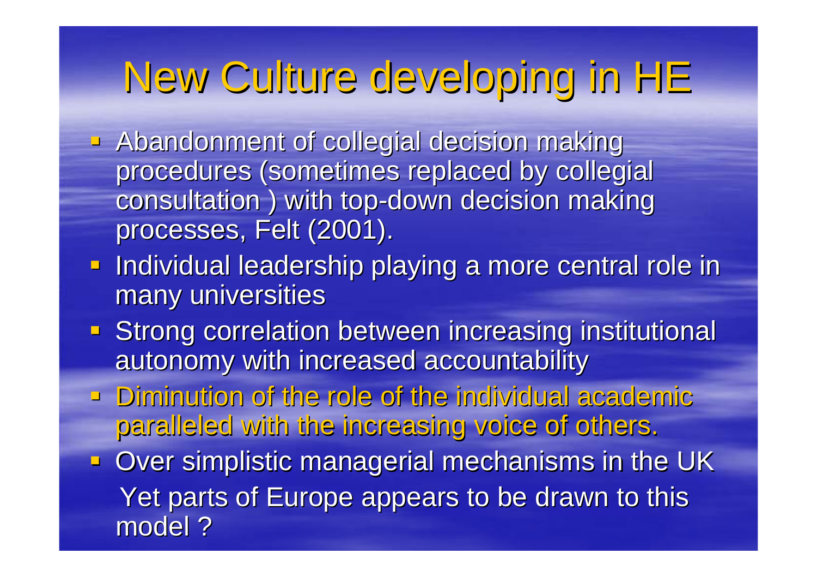## New Culture developing in HE New Culture developing in HE

- Abandonment of collegial decision making Abandonment of collegial decision making procedures (sometimes replaced by collegial consultation ) with top-down decision making processes, Felt (2001).
- **Individual leadership playing a more central role in** many universities
- **Strong correlation between increasing institutional** autonomy with increased accountability
- $\blacksquare$  Diminution of the role of the individual academic paralleled with the increasing voice of others. paralleled with the increasing voice of others.
- Over simplistic managerial mechanisms in the UK Yet parts of Europe appears to be drawn to this model ?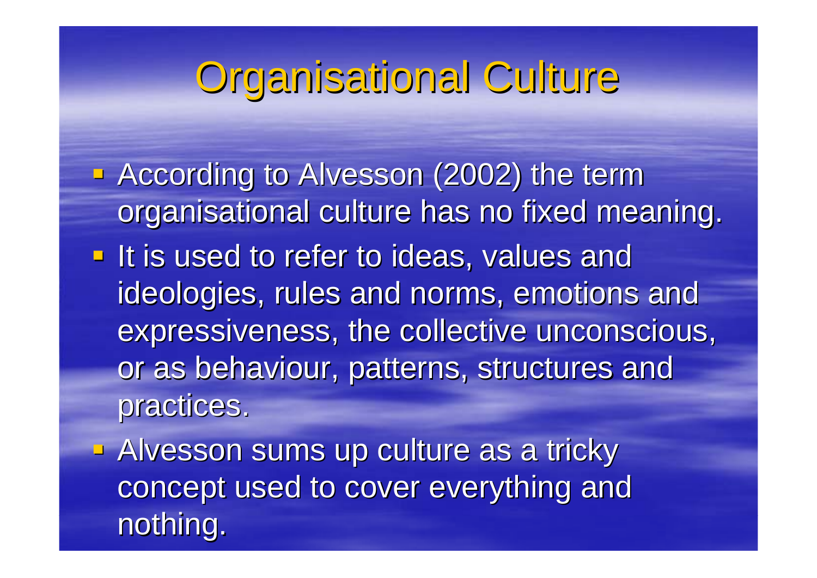#### Organisational Culture

- **According to Alvesson (2002) the term** organisational culture has no fixed meaning. If is used to refer to ideas, values and ideologies, rules and norms, emotions and expressiveness, the collective unconscious, or as behaviour, patterns, structures and practices.
- **Alvesson sums up culture as a tricky** concept used to cover everything and nothing.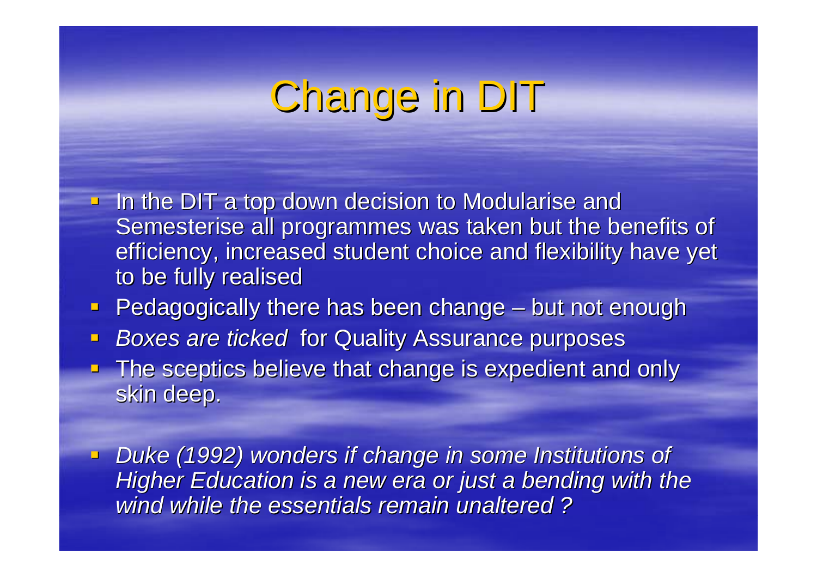## Change in DIT

- $\blacksquare$  In the DIT a top down decision to Modularise and Semesterise all programmes was taken but the benefits of efficiency, increased student choice and flexibility have yet to be fully realised
- $\Box$ **Pedagogically there has been change**  $\cdot$ – but not enough
- $\blacksquare$ **Boxes are ticked for Quality Assurance purposes**
- **The sceptics believe that change is expedient and only** skin deep.
- **Duke (1992) wonders if change in some Institutions of** *Higher Education is a new era or just a bending with the wind while the essentials remain unaltered ? wind while the essentials remain unaltered ?*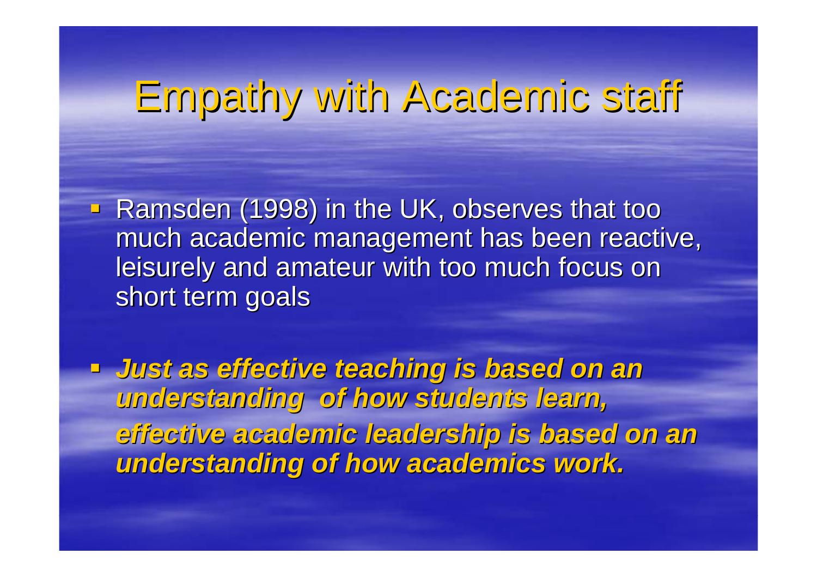#### Empathy with Academic staff Empathy with Academic staff

- **Ramsden (1998) in the UK, observes that too Ramsden (1998) in the UK, observes that too** much academic management has been reactive, leisurely and amateur with too much focus on short term goals
- *Just as effective teaching is based on an Just as effective teaching is based on an understanding of how students learn, understanding of how students learn, effective academic leadership is based on an effective academic leadership is based on an understanding of how academics work. understanding of how academics work.*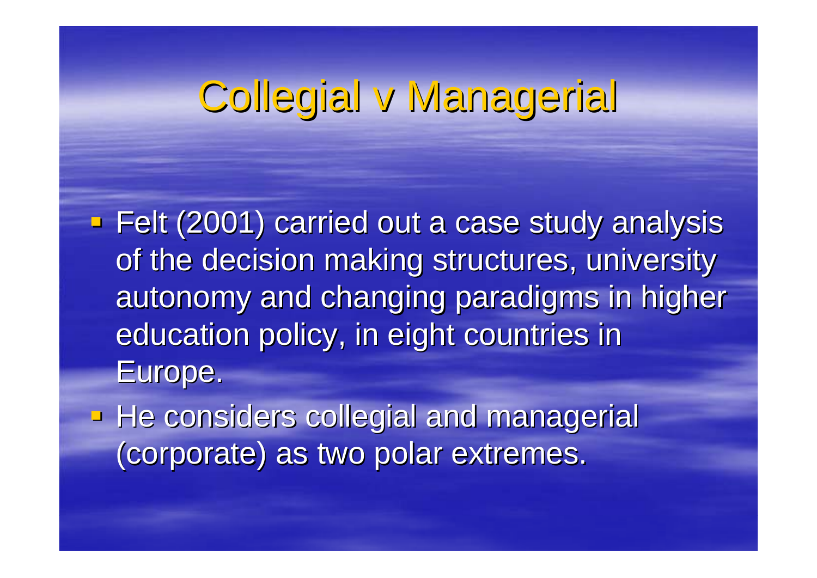#### Collegial v Managerial

**Felt (2001) carried out a case study analysis** of the decision making structures, university autonomy and changing paradigms in higher education policy, in eight countries in Europe.

He considers collegial and managerial (corporate) as two polar extremes. (corporate) as two polar extremes.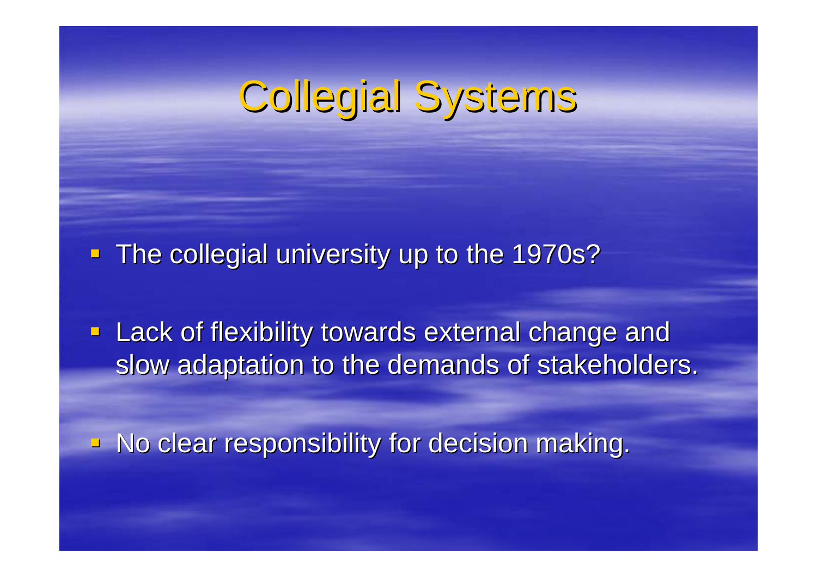### Collegial Systems

The collegial university up to the 1970s?

**- Lack of flexibility towards external change and** slow adaptation to the demands of stakeholders.

 $\blacksquare$  No clear responsibility for decision making.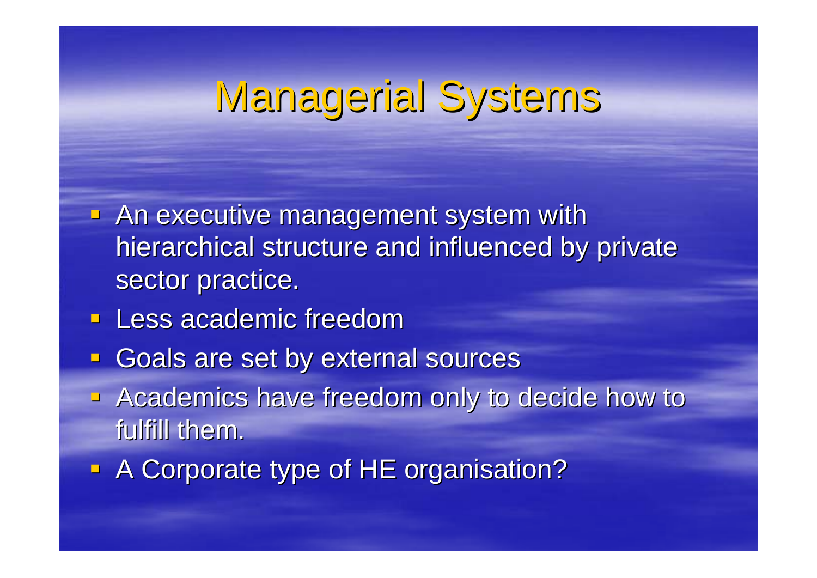#### Managerial Systems

- $\blacksquare$  An executive management system with hierarchical structure and influenced by private sector practice.
- **Less academic freedom**
- $\blacksquare$ Goals are set by external sources
- **Academics have freedom only to decide how to Academics have freedom only to decide how to** fulfill them.
- **A Corporate type of HE organisation?**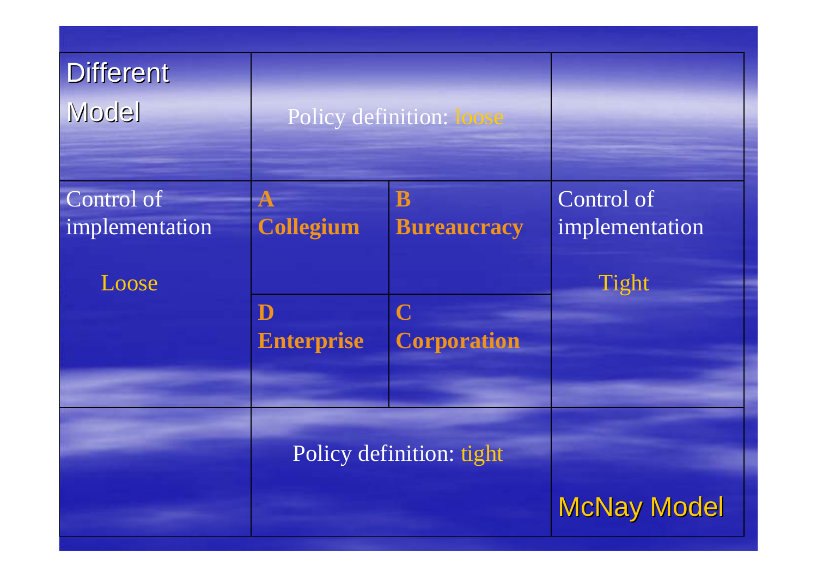| <b>Different</b><br><b>Model</b>      | Policy definition: loose                                |                                                              |                                       |
|---------------------------------------|---------------------------------------------------------|--------------------------------------------------------------|---------------------------------------|
| Control of<br>implementation<br>Loose | ${\bf A}$<br><b>Collegium</b><br>D<br><b>Enterprise</b> | B<br><b>Bureaucracy</b><br>$\mathbf C$<br><b>Corporation</b> | Control of<br>implementation<br>Tight |
|                                       | Policy definition: tight                                |                                                              | <b>McNay Model</b>                    |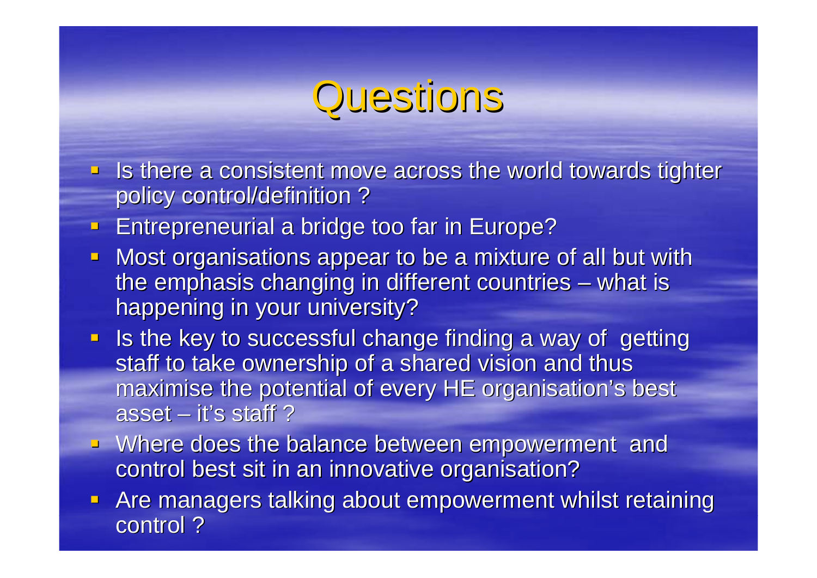#### Questions

- $\blacksquare$  Is there a consistent move across the world towards tighter policy control/definition ?
- $\blacksquare$ **Entrepreneurial a bridge too far in Europe?**
- $\blacksquare$ Most organisations appear to be a mixture of all but with the emphasis changing in different countries – what is happening in your university?
- **If also the key to successful change finding a way of getting Is the key to successful change finding** staff to take ownership of a shared vision and thus maximise the potential of every HE organisation's best asset  $-$  it's staff ?
- **EXTERN Where does the balance between empowerment and Where does the balance between empowerment and** control best sit in an innovative organisation?
- **Are managers talking about empowerment whilst retaining** control ?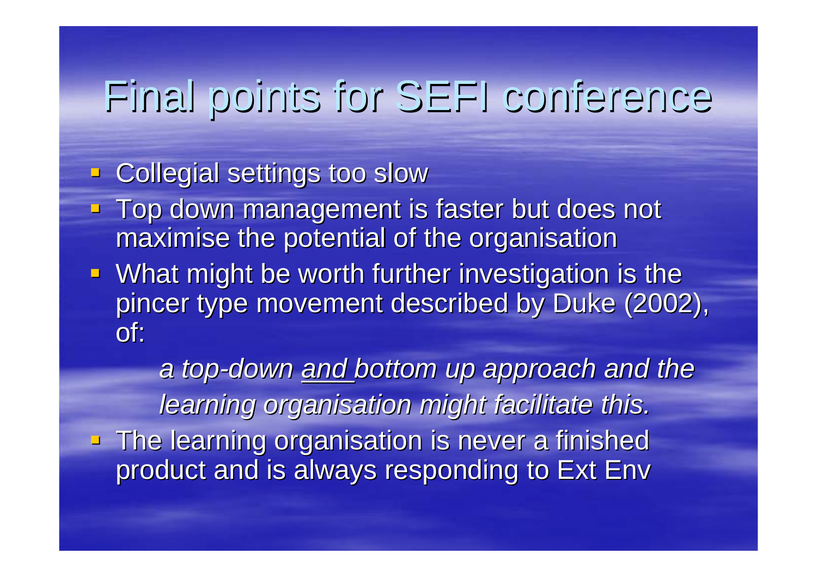#### Final points for SEFI conference Final points for SEFI conference

#### **EXECOllegial settings too slow**

- Top down management is faster but does not maximise the potential of the organisation
- **What might be worth further investigation is the** pincer type movement described by Duke (2002), of:

*a top -down and bottom up approach and the bottom up approach and the learning organisation might facilitate this. learning organisation might facilitate this.* **The learning organisation is never a finished 4** product and is always responding to Ext Env